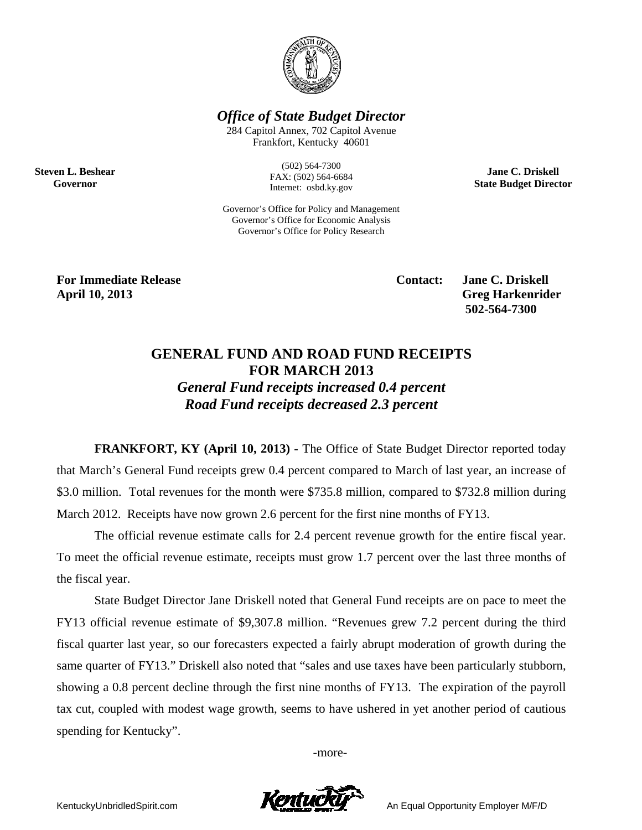

**Office of State Budget Director** 

284 Capitol Annex, 702 Capitol Avenue Frankfort, Kentucky 40601

> $(502) 564 - 7300$ FAX: (502) 564-6684 Internet: osbd.ky.gov

Governor's Office for Policy and Management Governor's Office for Economic Analysis Governor's Office for Policy Research

**Jane C. Driskell State Budget Director** 

**For Immediate Release April 10, 2013** 

**Steven L. Beshear** 

Governor

**Contact:** 

**Jane C. Driskell Greg Harkenrider** 502-564-7300

## **GENERAL FUND AND ROAD FUND RECEIPTS FOR MARCH 2013 General Fund receipts increased 0.4 percent** Road Fund receipts decreased 2.3 percent

**FRANKFORT, KY (April 10, 2013)** - The Office of State Budget Director reported today that March's General Fund receipts grew 0.4 percent compared to March of last year, an increase of \$3.0 million. Total revenues for the month were \$735.8 million, compared to \$732.8 million during March 2012. Receipts have now grown 2.6 percent for the first nine months of FY13.

The official revenue estimate calls for 2.4 percent revenue growth for the entire fiscal year. To meet the official revenue estimate, receipts must grow 1.7 percent over the last three months of the fiscal year.

State Budget Director Jane Driskell noted that General Fund receipts are on pace to meet the FY13 official revenue estimate of \$9,307.8 million. "Revenues grew 7.2 percent during the third fiscal quarter last year, so our forecasters expected a fairly abrupt moderation of growth during the same quarter of FY13." Driskell also noted that "sales and use taxes have been particularly stubborn, showing a 0.8 percent decline through the first nine months of FY13. The expiration of the payroll tax cut, coupled with modest wage growth, seems to have ushered in yet another period of cautious spending for Kentucky".

-more-



An Equal Opportunity Employer M/F/D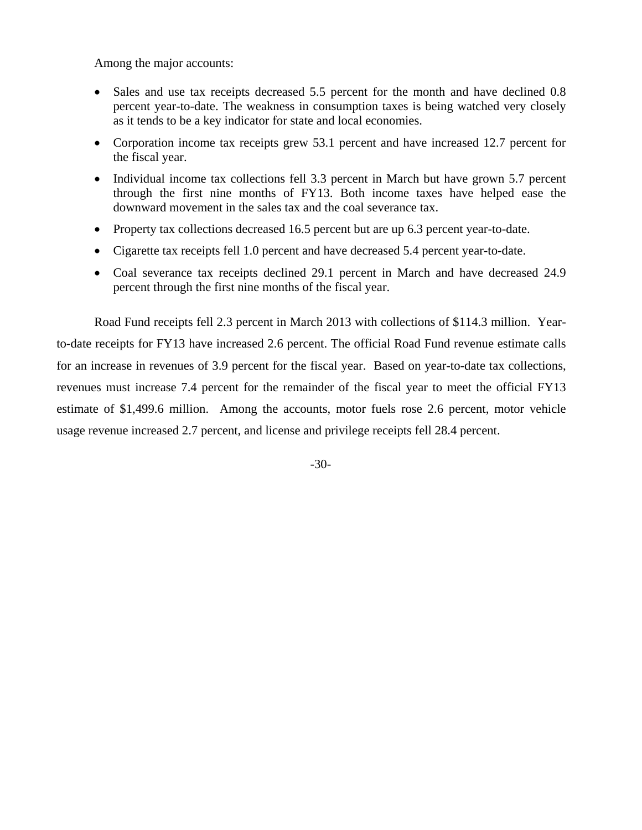Among the major accounts:

- Sales and use tax receipts decreased 5.5 percent for the month and have declined 0.8 percent year-to-date. The weakness in consumption taxes is being watched very closely as it tends to be a key indicator for state and local economies.
- Corporation income tax receipts grew 53.1 percent and have increased 12.7 percent for the fiscal year.
- Individual income tax collections fell 3.3 percent in March but have grown 5.7 percent through the first nine months of FY13. Both income taxes have helped ease the downward movement in the sales tax and the coal severance tax.
- Property tax collections decreased 16.5 percent but are up 6.3 percent year-to-date.
- Cigarette tax receipts fell 1.0 percent and have decreased 5.4 percent year-to-date.
- Coal severance tax receipts declined 29.1 percent in March and have decreased 24.9 percent through the first nine months of the fiscal year.

Road Fund receipts fell 2.3 percent in March 2013 with collections of \$114.3 million. Yearto-date receipts for FY13 have increased 2.6 percent. The official Road Fund revenue estimate calls for an increase in revenues of 3.9 percent for the fiscal year. Based on year-to-date tax collections, revenues must increase 7.4 percent for the remainder of the fiscal year to meet the official FY13 estimate of \$1,499.6 million. Among the accounts, motor fuels rose 2.6 percent, motor vehicle usage revenue increased 2.7 percent, and license and privilege receipts fell 28.4 percent.

-30-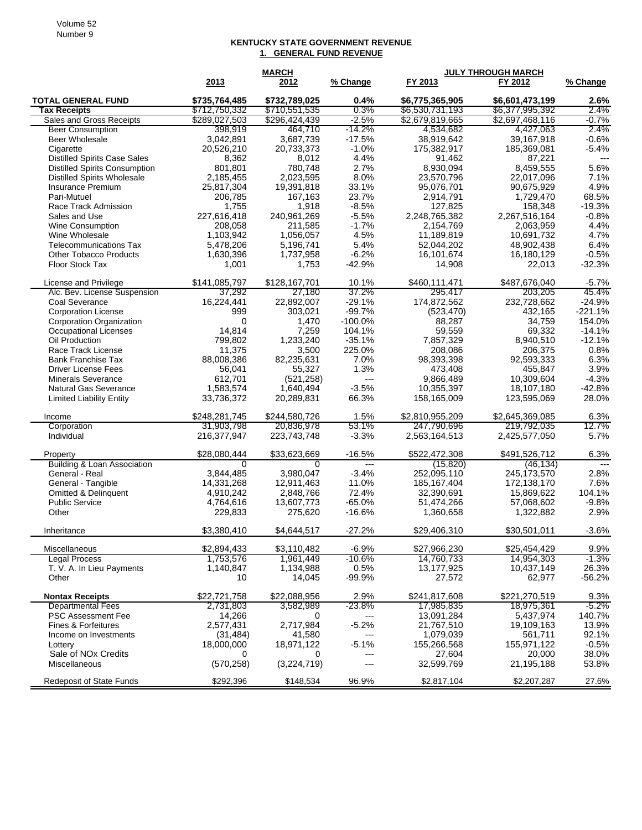## **KENTUCKY STATE GOVERNMENT REVENUE 1. GENERAL FUND REVENUE**

|                                                  |                                | <b>MARCH</b>                   |                  | <b>JULY THROUGH MARCH</b>          |                                    |                     |
|--------------------------------------------------|--------------------------------|--------------------------------|------------------|------------------------------------|------------------------------------|---------------------|
|                                                  | 2013                           | 2012                           | % Change         | FY 2013                            | FY 2012                            | % Change            |
| <b>TOTAL GENERAL FUND</b><br><b>Tax Receipts</b> | \$735,764,485<br>\$712,750,332 | \$732,789,025<br>\$710,551,535 | 0.4%<br>0.3%     | \$6,775,365,905<br>\$6,530,731,193 | \$6,601,473,199<br>\$6,377,995,392 | 2.6%<br>2.4%        |
| Sales and Gross Receipts                         | \$289,027,503                  | \$296,424,439                  | -2.5%            | \$2,679,819,665                    | \$2,697,468,116                    | $-0.7\%$            |
| <b>Beer Consumption</b>                          | 398,919                        | 464,710                        | -14.2%           | 4,534,682                          | 4,427,063                          | 2.4%                |
| <b>Beer Wholesale</b>                            | 3,042,891                      | 3,687,739                      | $-17.5%$         | 38,919,642                         | 39,167,918                         | $-0.6%$             |
| Cigarette                                        | 20,526,210                     | 20,733,373                     | $-1.0%$          | 175,382,917                        | 185,369,081                        | $-5.4%$             |
| <b>Distilled Spirits Case Sales</b>              | 8,362                          | 8,012                          | 4.4%             | 91,462                             | 87,221                             | ---                 |
| <b>Distilled Spirits Consumption</b>             | 801,801                        | 780,748                        | 2.7%             | 8,930,094                          | 8,459,555                          | 5.6%                |
| <b>Distilled Spirits Wholesale</b>               | 2,185,455                      | 2,023,595                      | 8.0%             | 23,570,796                         | 22,017,096                         | 7.1%                |
| Insurance Premium                                | 25,817,304                     | 19,391,818                     | 33.1%            | 95,076,701                         | 90,675,929                         | 4.9%                |
| Pari-Mutuel                                      | 206.785                        | 167,163                        | 23.7%            | 2.914.791                          | 1,729,470                          | 68.5%               |
| Race Track Admission                             | 1,755                          | 1,918                          | $-8.5%$          | 127,825                            | 158,348                            | $-19.3%$            |
| Sales and Use                                    | 227,616,418                    | 240,961,269                    | $-5.5%$          | 2,248,765,382                      | 2,267,516,164                      | $-0.8%$             |
| Wine Consumption                                 | 208,058                        | 211,585                        | $-1.7%$          | 2,154,769                          | 2,063,959                          | 4.4%                |
| Wine Wholesale                                   | 1,103,942                      | 1,056,057                      | 4.5%             | 11,189,819                         | 10,691,732                         | 4.7%                |
| <b>Telecommunications Tax</b>                    | 5,478,206                      | 5,196,741                      | 5.4%             | 52,044,202                         | 48,902,438                         | 6.4%                |
| <b>Other Tobacco Products</b>                    | 1,630,396                      | 1,737,958                      | $-6.2%$          | 16,101,674                         | 16,180,129                         | $-0.5%$             |
| Floor Stock Tax                                  | 1,001                          | 1,753                          | $-42.9%$         | 14,908                             | 22,013                             | $-32.3%$            |
| License and Privilege                            | \$141,085,797                  | \$128,167,701                  | 10.1%            | \$460,111,471                      | \$487.676.040                      | $-5.7%$             |
| Alc. Bev. License Suspension                     | 37.292                         | 27,180                         | 37.2%            | 295,417                            | 203,205                            | 45.4%               |
| Coal Severance                                   | 16,224,441                     | 22,892,007                     | $-29.1%$         | 174,872,562                        | 232,728,662                        | $-24.9%$            |
| <b>Corporation License</b>                       | 999                            | 303,021                        | $-99.7%$         | (523, 470)                         | 432,165                            | $-221.1%$           |
| <b>Corporation Organization</b>                  | 0                              | 1,470                          | $-100.0%$        | 88,287                             | 34,759                             | 154.0%              |
| <b>Occupational Licenses</b>                     | 14,814                         | 7,259                          | 104.1%           | 59,559                             | 69,332                             | $-14.1%$            |
| Oil Production                                   | 799,802                        | 1,233,240                      | $-35.1%$         | 7,857,329                          | 8,940,510                          | $-12.1%$            |
| Race Track License                               | 11,375                         | 3,500                          | 225.0%           | 208,086                            | 206,375                            | 0.8%                |
| <b>Bank Franchise Tax</b>                        | 88,008,386                     | 82,235,631                     | 7.0%             | 98,393,398                         | 92,593,333                         | 6.3%                |
| <b>Driver License Fees</b>                       | 56,041                         | 55,327                         | 1.3%             | 473,408                            | 455,847                            | 3.9%                |
| <b>Minerals Severance</b>                        | 612,701                        | (521, 258)                     | $---$<br>$-3.5%$ | 9,866,489                          | 10,309,604                         | $-4.3%$<br>$-42.8%$ |
| <b>Natural Gas Severance</b>                     | 1,583,574                      | 1,640,494                      |                  | 10,355,397                         | 18,107,180                         | 28.0%               |
| <b>Limited Liability Entity</b>                  | 33,736,372                     | 20,289,831                     | 66.3%            | 158,165,009                        | 123,595,069                        |                     |
| Income                                           | \$248,281,745                  | \$244,580,726                  | 1.5%             | \$2,810,955,209                    | \$2,645,369,085                    | 6.3%                |
| Corporation                                      | 31,903,798                     | 20,836,978                     | 53.1%            | 247,790,696                        | 219,792,035                        | 12.7%               |
| Individual                                       | 216,377,947                    | 223,743,748                    | $-3.3%$          | 2,563,164,513                      | 2,425,577,050                      | 5.7%                |
| Property                                         | \$28,080,444                   | \$33,623,669                   | $-16.5%$         | \$522,472,308                      | \$491,526,712                      | 6.3%                |
| <b>Building &amp; Loan Association</b>           | 0                              | 0                              | $\overline{a}$   | (15, 820)                          | (46, 134)                          | $---$               |
| General - Real                                   | 3,844,485                      | 3,980,047                      | $-3.4%$          | 252,095,110                        | 245, 173, 570                      | 2.8%                |
| General - Tangible                               | 14,331,268                     | 12,911,463                     | 11.0%            | 185, 167, 404                      | 172,138,170                        | 7.6%                |
| <b>Omitted &amp; Delinquent</b>                  | 4,910,242                      | 2,848,766                      | 72.4%            | 32,390,691                         | 15,869,622                         | 104.1%              |
| <b>Public Service</b>                            | 4,764,616                      | 13,607,773                     | $-65.0%$         | 51,474,266                         | 57,068,602                         | $-9.8%$             |
| Other                                            | 229,833                        | 275,620                        | $-16.6%$         | 1,360,658                          | 1,322,882                          | 2.9%                |
| Inheritance                                      | \$3,380,410                    | \$4,644,517                    | $-27.2%$         | \$29,406,310                       | \$30,501,011                       | $-3.6%$             |
| Miscellaneous                                    | \$2,894,433                    | \$3,110,482                    | -6.9%            | \$27,966,230                       | \$25.454.429                       | 9.9%                |
| <b>Legal Process</b>                             | 1,753,576                      | 1,961,449                      | $-10.6%$         | 14,760,733                         | 14,954,303                         | $-1.3\%$            |
| T. V. A. In Lieu Payments                        | 1,140,847                      | 1,134,988                      | 0.5%             | 13,177,925                         | 10,437,149                         | 26.3%               |
| Other                                            | 10                             | 14,045                         | $-99.9%$         | 27,572                             | 62,977                             | $-56.2%$            |
| <b>Nontax Receipts</b>                           | \$22,721,758                   | \$22,088,956                   | 2.9%             | \$241,817,608                      | \$221,270,519                      | 9.3%                |
| <b>Departmental Fees</b>                         | 2,731,803                      | 3,582,989                      | $-23.8%$         | 17,985,835                         | 18,975,361                         | $-5.2%$             |
| <b>PSC Assessment Fee</b>                        | 14,266                         | 0                              | ---              | 13,091,284                         | 5,437,974                          | 140.7%              |
| Fines & Forfeitures                              | 2,577,431                      | 2,717,984                      | $-5.2%$          | 21,767,510                         | 19,109,163                         | 13.9%               |
| Income on Investments                            | (31, 484)                      | 41,580                         |                  | 1,079,039                          | 561,711                            | 92.1%               |
| Lottery                                          | 18,000,000                     | 18,971,122                     | $-5.1%$          | 155,266,568                        | 155,971,122                        | $-0.5%$             |
| Sale of NO <sub>x</sub> Credits                  | 0                              | 0                              | ---              | 27.604                             | 20,000                             | 38.0%               |
| <b>Miscellaneous</b>                             | (570, 258)                     | (3,224,719)                    | ---              | 32,599,769                         | 21,195,188                         | 53.8%               |
| <b>Redeposit of State Funds</b>                  | \$292,396                      | \$148,534                      | 96.9%            | \$2,817,104                        | \$2,207,287                        | 27.6%               |